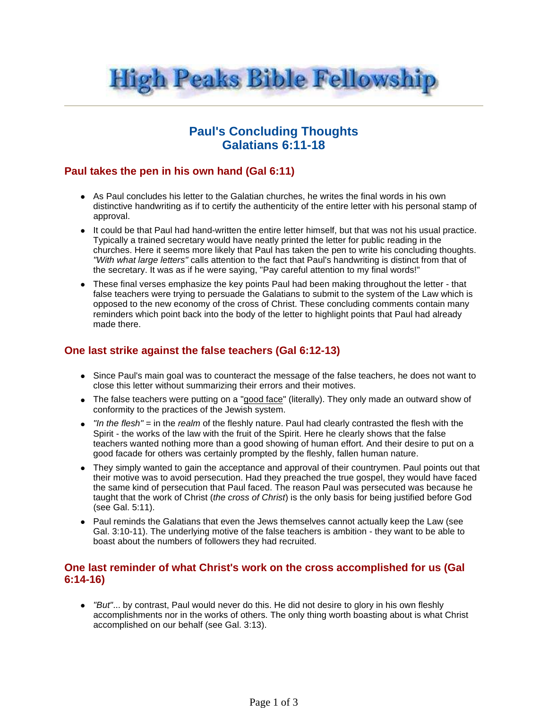

# **Paul's Concluding Thoughts Galatians 6:11-18**

## **Paul takes the pen in his own hand (Gal 6:11)**

- As Paul concludes his letter to the Galatian churches, he writes the final words in his own distinctive handwriting as if to certify the authenticity of the entire letter with his personal stamp of approval.
- It could be that Paul had hand-written the entire letter himself, but that was not his usual practice. Typically a trained secretary would have neatly printed the letter for public reading in the churches. Here it seems more likely that Paul has taken the pen to write his concluding thoughts. "With what large letters" calls attention to the fact that Paul's handwriting is distinct from that of the secretary. It was as if he were saying, "Pay careful attention to my final words!"
- These final verses emphasize the key points Paul had been making throughout the letter that false teachers were trying to persuade the Galatians to submit to the system of the Law which is opposed to the new economy of the cross of Christ. These concluding comments contain many reminders which point back into the body of the letter to highlight points that Paul had already made there.

## **One last strike against the false teachers (Gal 6:12-13)**

- Since Paul's main goal was to counteract the message of the false teachers, he does not want to close this letter without summarizing their errors and their motives.
- The false teachers were putting on a "good face" (literally). They only made an outward show of conformity to the practices of the Jewish system.
- $\bullet$  "In the flesh" = in the realm of the fleshly nature. Paul had clearly contrasted the flesh with the Spirit - the works of the law with the fruit of the Spirit. Here he clearly shows that the false teachers wanted nothing more than a good showing of human effort. And their desire to put on a good facade for others was certainly prompted by the fleshly, fallen human nature.
- They simply wanted to gain the acceptance and approval of their countrymen. Paul points out that their motive was to avoid persecution. Had they preached the true gospel, they would have faced the same kind of persecution that Paul faced. The reason Paul was persecuted was because he taught that the work of Christ (the cross of Christ) is the only basis for being justified before God (see Gal. 5:11).
- Paul reminds the Galatians that even the Jews themselves cannot actually keep the Law (see Gal. 3:10-11). The underlying motive of the false teachers is ambition - they want to be able to boast about the numbers of followers they had recruited.

### **One last reminder of what Christ's work on the cross accomplished for us (Gal 6:14-16)**

• "But"... by contrast, Paul would never do this. He did not desire to glory in his own fleshly accomplishments nor in the works of others. The only thing worth boasting about is what Christ accomplished on our behalf (see Gal. 3:13).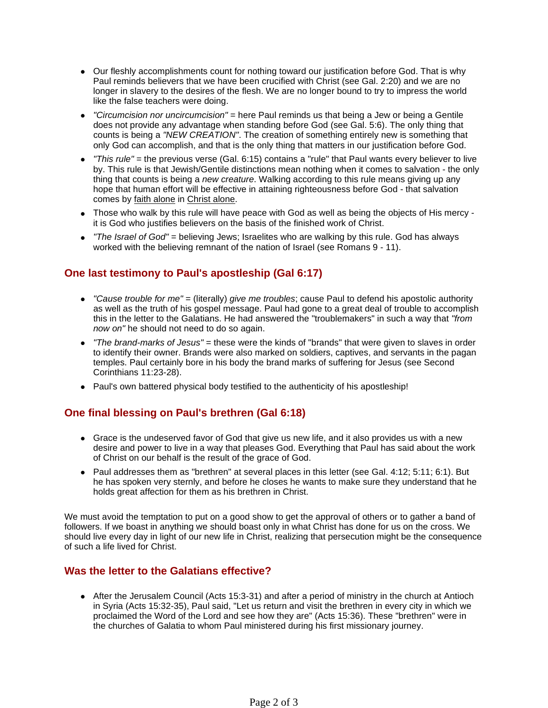- Our fleshly accomplishments count for nothing toward our justification before God. That is why Paul reminds believers that we have been crucified with Christ (see Gal. 2:20) and we are no longer in slavery to the desires of the flesh. We are no longer bound to try to impress the world like the false teachers were doing.
- "Circumcision nor uncircumcision" = here Paul reminds us that being a Jew or being a Gentile does not provide any advantage when standing before God (see Gal. 5:6). The only thing that counts is being a "NEW CREATION". The creation of something entirely new is something that only God can accomplish, and that is the only thing that matters in our justification before God.
- "This rule" = the previous verse (Gal. 6:15) contains a "rule" that Paul wants every believer to live by. This rule is that Jewish/Gentile distinctions mean nothing when it comes to salvation - the only thing that counts is being a new creature. Walking according to this rule means giving up any hope that human effort will be effective in attaining righteousness before God - that salvation comes by faith alone in Christ alone.
- Those who walk by this rule will have peace with God as well as being the objects of His mercy it is God who justifies believers on the basis of the finished work of Christ.
- $\bullet$  "The Israel of God" = believing Jews; Israelites who are walking by this rule. God has always worked with the believing remnant of the nation of Israel (see Romans 9 - 11).

## **One last testimony to Paul's apostleship (Gal 6:17)**

- "Cause trouble for me" = (literally) give me troubles; cause Paul to defend his apostolic authority as well as the truth of his gospel message. Paul had gone to a great deal of trouble to accomplish this in the letter to the Galatians. He had answered the "troublemakers" in such a way that "from now on" he should not need to do so again.
- "The brand-marks of Jesus" = these were the kinds of "brands" that were given to slaves in order to identify their owner. Brands were also marked on soldiers, captives, and servants in the pagan temples. Paul certainly bore in his body the brand marks of suffering for Jesus (see Second Corinthians 11:23-28).
- Paul's own battered physical body testified to the authenticity of his apostleship!

#### **One final blessing on Paul's brethren (Gal 6:18)**

- Grace is the undeserved favor of God that give us new life, and it also provides us with a new desire and power to live in a way that pleases God. Everything that Paul has said about the work of Christ on our behalf is the result of the grace of God.
- $\bullet$  Paul addresses them as "brethren" at several places in this letter (see Gal. 4:12; 5:11; 6:1). But he has spoken very sternly, and before he closes he wants to make sure they understand that he holds great affection for them as his brethren in Christ.

We must avoid the temptation to put on a good show to get the approval of others or to gather a band of followers. If we boast in anything we should boast only in what Christ has done for us on the cross. We should live every day in light of our new life in Christ, realizing that persecution might be the consequence of such a life lived for Christ.

### **Was the letter to the Galatians effective?**

• After the Jerusalem Council (Acts 15:3-31) and after a period of ministry in the church at Antioch in Syria (Acts 15:32-35), Paul said, "Let us return and visit the brethren in every city in which we proclaimed the Word of the Lord and see how they are" (Acts 15:36). These "brethren" were in the churches of Galatia to whom Paul ministered during his first missionary journey.